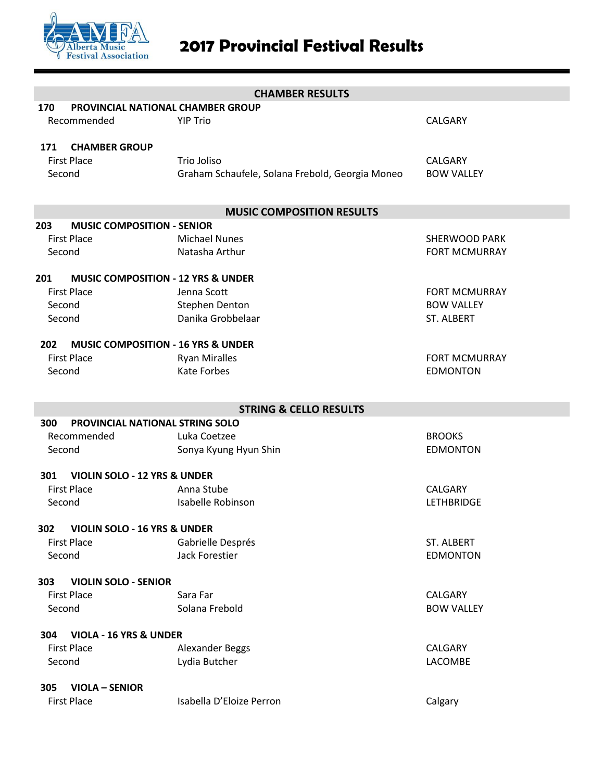

|        | <b>CHAMBER RESULTS</b>                        |                                                 |                      |  |
|--------|-----------------------------------------------|-------------------------------------------------|----------------------|--|
| 170    | <b>PROVINCIAL NATIONAL CHAMBER GROUP</b>      |                                                 |                      |  |
|        | Recommended                                   | <b>YIP Trio</b>                                 | <b>CALGARY</b>       |  |
|        |                                               |                                                 |                      |  |
| 171    | <b>CHAMBER GROUP</b>                          |                                                 |                      |  |
|        | <b>First Place</b>                            | Trio Joliso                                     | <b>CALGARY</b>       |  |
| Second |                                               | Graham Schaufele, Solana Frebold, Georgia Moneo | <b>BOW VALLEY</b>    |  |
|        |                                               |                                                 |                      |  |
|        |                                               | <b>MUSIC COMPOSITION RESULTS</b>                |                      |  |
| 203    | <b>MUSIC COMPOSITION - SENIOR</b>             |                                                 |                      |  |
|        | <b>First Place</b>                            | <b>Michael Nunes</b>                            | <b>SHERWOOD PARK</b> |  |
| Second |                                               | Natasha Arthur                                  | <b>FORT MCMURRAY</b> |  |
|        |                                               |                                                 |                      |  |
| 201    | <b>MUSIC COMPOSITION - 12 YRS &amp; UNDER</b> |                                                 |                      |  |
|        | <b>First Place</b>                            | Jenna Scott                                     | <b>FORT MCMURRAY</b> |  |
| Second |                                               | Stephen Denton                                  | <b>BOW VALLEY</b>    |  |
| Second |                                               | Danika Grobbelaar                               | <b>ST. ALBERT</b>    |  |
| 202    | <b>MUSIC COMPOSITION - 16 YRS &amp; UNDER</b> |                                                 |                      |  |
|        | <b>First Place</b>                            | <b>Ryan Miralles</b>                            | <b>FORT MCMURRAY</b> |  |
| Second |                                               | <b>Kate Forbes</b>                              | <b>EDMONTON</b>      |  |
|        |                                               |                                                 |                      |  |
|        |                                               |                                                 |                      |  |
|        |                                               |                                                 |                      |  |
|        |                                               | <b>STRING &amp; CELLO RESULTS</b>               |                      |  |
| 300    | PROVINCIAL NATIONAL STRING SOLO               |                                                 |                      |  |
|        | Recommended                                   | Luka Coetzee                                    | <b>BROOKS</b>        |  |
| Second |                                               | Sonya Kyung Hyun Shin                           | <b>EDMONTON</b>      |  |
|        |                                               |                                                 |                      |  |
| 301    | <b>VIOLIN SOLO - 12 YRS &amp; UNDER</b>       |                                                 |                      |  |
|        | <b>First Place</b>                            | Anna Stube                                      | <b>CALGARY</b>       |  |
| Second |                                               | Isabelle Robinson                               | <b>LETHBRIDGE</b>    |  |
| 302    | <b>VIOLIN SOLO - 16 YRS &amp; UNDER</b>       |                                                 |                      |  |
|        | <b>First Place</b>                            | Gabrielle Després                               | <b>ST. ALBERT</b>    |  |
| Second |                                               | Jack Forestier                                  | <b>EDMONTON</b>      |  |
|        |                                               |                                                 |                      |  |
| 303    | <b>VIOLIN SOLO - SENIOR</b>                   |                                                 |                      |  |
|        | <b>First Place</b>                            | Sara Far                                        | <b>CALGARY</b>       |  |
| Second |                                               | Solana Frebold                                  | <b>BOW VALLEY</b>    |  |
| 304    | <b>VIOLA - 16 YRS &amp; UNDER</b>             |                                                 |                      |  |
|        | <b>First Place</b>                            | <b>Alexander Beggs</b>                          | <b>CALGARY</b>       |  |
| Second |                                               | Lydia Butcher                                   | LACOMBE              |  |
|        |                                               |                                                 |                      |  |
| 305    | <b>VIOLA - SENIOR</b><br><b>First Place</b>   | Isabella D'Eloize Perron                        | Calgary              |  |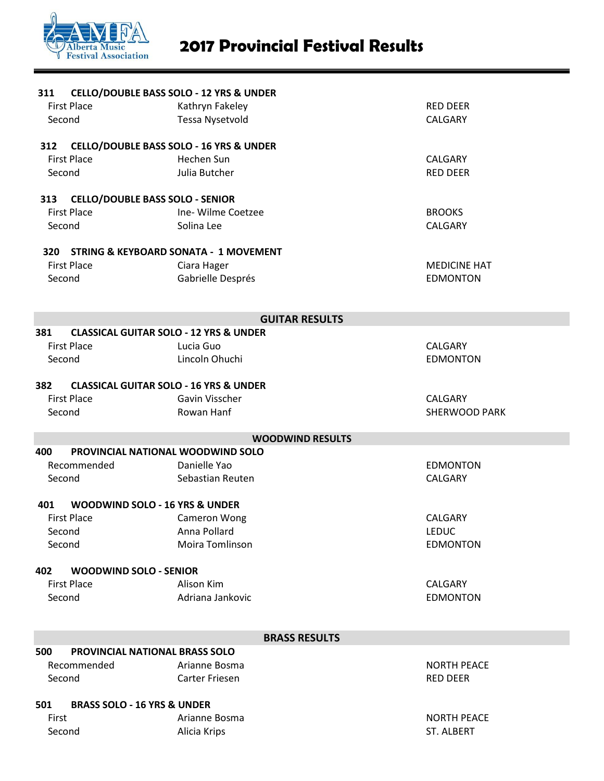

| <b>CELLO/DOUBLE BASS SOLO - 12 YRS &amp; UNDER</b><br>311 |                                                                         |                                                  |                                   |
|-----------------------------------------------------------|-------------------------------------------------------------------------|--------------------------------------------------|-----------------------------------|
|                                                           | <b>First Place</b>                                                      | Kathryn Fakeley                                  | <b>RED DEER</b>                   |
| Second                                                    |                                                                         | Tessa Nysetvold                                  | CALGARY                           |
|                                                           |                                                                         |                                                  |                                   |
| 312                                                       | <b>CELLO/DOUBLE BASS SOLO - 16 YRS &amp; UNDER</b>                      |                                                  |                                   |
|                                                           | <b>First Place</b>                                                      | Hechen Sun<br>Julia Butcher                      | CALGARY                           |
| Second                                                    |                                                                         |                                                  | <b>RED DEER</b>                   |
| 313                                                       | <b>CELLO/DOUBLE BASS SOLO - SENIOR</b>                                  |                                                  |                                   |
|                                                           | <b>First Place</b>                                                      | Ine-Wilme Coetzee                                | <b>BROOKS</b>                     |
| Second                                                    |                                                                         | Solina Lee                                       | CALGARY                           |
| 320                                                       |                                                                         | <b>STRING &amp; KEYBOARD SONATA - 1 MOVEMENT</b> |                                   |
|                                                           | <b>First Place</b>                                                      | Ciara Hager                                      | <b>MEDICINE HAT</b>               |
| Second                                                    |                                                                         | Gabrielle Després                                | <b>EDMONTON</b>                   |
|                                                           |                                                                         |                                                  |                                   |
|                                                           |                                                                         |                                                  |                                   |
|                                                           |                                                                         | <b>GUITAR RESULTS</b>                            |                                   |
| 381                                                       | <b>CLASSICAL GUITAR SOLO - 12 YRS &amp; UNDER</b><br><b>First Place</b> | Lucia Guo                                        |                                   |
| Second                                                    |                                                                         | Lincoln Ohuchi                                   | <b>CALGARY</b><br><b>EDMONTON</b> |
|                                                           |                                                                         |                                                  |                                   |
| 382                                                       | <b>CLASSICAL GUITAR SOLO - 16 YRS &amp; UNDER</b>                       |                                                  |                                   |
|                                                           | <b>First Place</b>                                                      | Gavin Visscher                                   | <b>CALGARY</b>                    |
| Second                                                    |                                                                         | Rowan Hanf                                       | SHERWOOD PARK                     |
|                                                           |                                                                         |                                                  |                                   |
|                                                           |                                                                         | <b>WOODWIND RESULTS</b>                          |                                   |
| 400                                                       | PROVINCIAL NATIONAL WOODWIND SOLO<br>Recommended                        | Danielle Yao                                     | <b>EDMONTON</b>                   |
| Second                                                    |                                                                         | Sebastian Reuten                                 | CALGARY                           |
|                                                           |                                                                         |                                                  |                                   |
| 401                                                       | <b>WOODWIND SOLO - 16 YRS &amp; UNDER</b>                               |                                                  |                                   |
|                                                           | <b>First Place</b>                                                      | <b>Cameron Wong</b>                              | CALGARY                           |
| Second                                                    |                                                                         | Anna Pollard                                     | <b>LEDUC</b>                      |
| Second                                                    |                                                                         | Moira Tomlinson                                  | <b>EDMONTON</b>                   |
| 402                                                       | <b>WOODWIND SOLO - SENIOR</b>                                           |                                                  |                                   |
|                                                           | <b>First Place</b>                                                      | Alison Kim                                       | CALGARY                           |
| Second                                                    |                                                                         | Adriana Jankovic                                 | <b>EDMONTON</b>                   |
|                                                           |                                                                         |                                                  |                                   |
|                                                           |                                                                         |                                                  |                                   |
|                                                           |                                                                         | <b>BRASS RESULTS</b>                             |                                   |
| 500                                                       | <b>PROVINCIAL NATIONAL BRASS SOLO</b>                                   |                                                  |                                   |
|                                                           | Recommended                                                             | Arianne Bosma                                    | <b>NORTH PEACE</b>                |
| Second                                                    |                                                                         | Carter Friesen                                   | <b>RED DEER</b>                   |
|                                                           |                                                                         |                                                  |                                   |
| 501                                                       | <b>BRASS SOLO - 16 YRS &amp; UNDER</b>                                  |                                                  |                                   |
| First<br>Second                                           |                                                                         | Arianne Bosma                                    | <b>NORTH PEACE</b><br>ST. ALBERT  |
|                                                           |                                                                         | Alicia Krips                                     |                                   |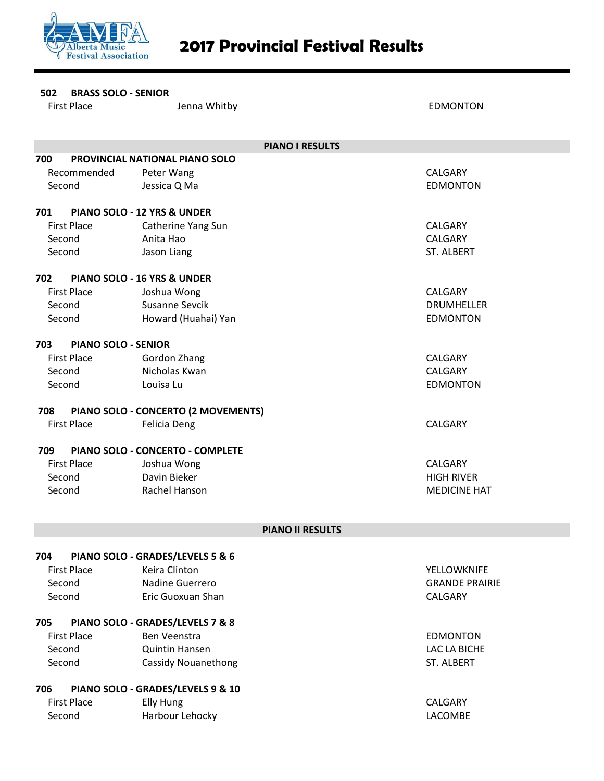

 **502 BRASS SOLO - SENIOR** First Place The Summan Metal Senator Control of the Summan Policy EDMONTON **PIANO I RESULTS 700 PROVINCIAL NATIONAL PIANO SOLO Recommended Peter Wang CALGARY** CALGARY Second Jessica Q Ma EDMONTON **701 PIANO SOLO - 12 YRS & UNDER** First Place Catherine Yang Sun CALGARY Second Anita Hao CALGARY Second Jason Liang Jason Liang ST. ALBERT **702 PIANO SOLO - 16 YRS & UNDER** First Place South Doshua Wong CALGARY CALGARY Second Susanne Sevcik DRUMHELLER Second Howard (Huahai) Yan EDMONTON **703 PIANO SOLO - SENIOR** First Place Gordon Zhang CALGARY CALGARY Second Nicholas Kwan CALGARY Second Louisa Lu **EDMONTON 708 PIANO SOLO - CONCERTO (2 MOVEMENTS) First Place** Felicia Deng CALGARY CALGARY **709 PIANO SOLO - CONCERTO - COMPLETE First Place CALGARY** Joshua Wong CALGARY CALGARY Second Davin Bieker **Example 2018** HIGH RIVER Second Rachel Hanson **MEDICINE HAT PIANO II RESULTS 704 PIANO SOLO - GRADES/LEVELS 5 & 6** First Place The Keira Clinton The Communication of the YELLOWKNIFE Second Nadine Guerrero GRANDE PRAIRIE Second Eric Guoxuan Shan Care Care Canada CALGARY **705 PIANO SOLO - GRADES/LEVELS 7 & 8** First Place Ben Veenstra EDMONTON

 Second Quintin Hansen LAC LA BICHE Second Cassidy Nouanethong ST. ALBERT

#### **706 PIANO SOLO - GRADES/LEVELS 9 & 10**

| <b>First Place</b> | Elly Hung       | CALGARY |
|--------------------|-----------------|---------|
| Second             | Harbour Lehocky | LACOMBE |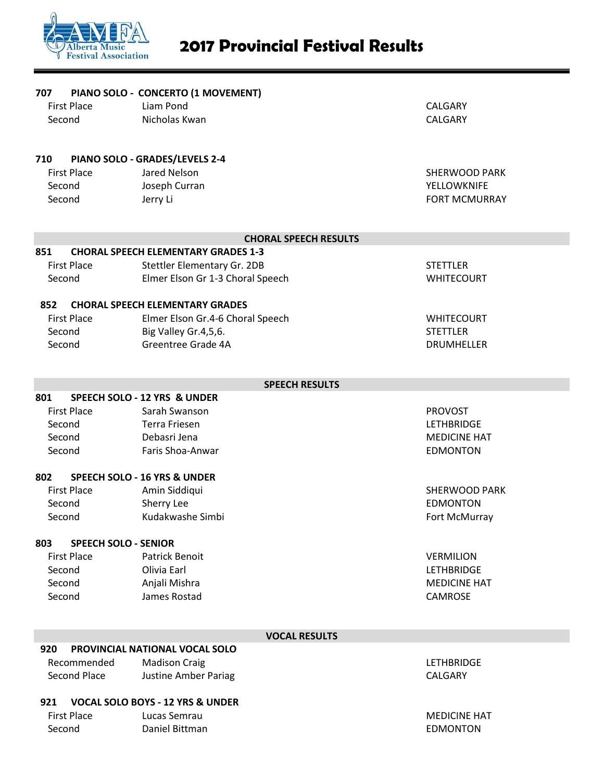

| 707<br><b>First Place</b><br>Second           | PIANO SOLO - CONCERTO (1 MOVEMENT)<br>Liam Pond<br>Nicholas Kwan               | CALGARY<br>CALGARY                                          |
|-----------------------------------------------|--------------------------------------------------------------------------------|-------------------------------------------------------------|
| 710<br><b>First Place</b><br>Second<br>Second | PIANO SOLO - GRADES/LEVELS 2-4<br>Jared Nelson<br>Joseph Curran<br>Jerry Li    | <b>SHERWOOD PARK</b><br>YELLOWKNIFE<br><b>FORT MCMURRAY</b> |
|                                               | <b>CHORAL SPEECH RESULTS</b>                                                   |                                                             |
| 851                                           | <b>CHORAL SPEECH ELEMENTARY GRADES 1-3</b>                                     |                                                             |
| <b>First Place</b><br>Second                  | Stettler Elementary Gr. 2DB<br>Elmer Elson Gr 1-3 Choral Speech                | <b>STETTLER</b><br><b>WHITECOURT</b>                        |
| 852                                           | <b>CHORAL SPEECH ELEMENTARY GRADES</b>                                         |                                                             |
| <b>First Place</b><br>Second<br>Second        | Elmer Elson Gr.4-6 Choral Speech<br>Big Valley Gr.4,5,6.<br>Greentree Grade 4A | <b>WHITECOURT</b><br><b>STETTLER</b><br><b>DRUMHELLER</b>   |
|                                               | <b>SPEECH RESULTS</b>                                                          |                                                             |
| 801                                           | SPEECH SOLO - 12 YRS & UNDER                                                   |                                                             |
| <b>First Place</b>                            | Sarah Swanson                                                                  | <b>PROVOST</b>                                              |
| Second                                        | Terra Friesen                                                                  | <b>LETHBRIDGE</b>                                           |
| Second                                        | Debasri Jena                                                                   | <b>MEDICINE HAT</b>                                         |
| Second                                        | Faris Shoa-Anwar                                                               | <b>EDMONTON</b>                                             |
| 802                                           | <b>SPEECH SOLO - 16 YRS &amp; UNDER</b>                                        |                                                             |
| <b>First Place</b>                            | Amin Siddiqui                                                                  | <b>SHERWOOD PARK</b>                                        |
| Second                                        | Sherry Lee                                                                     | <b>EDMONTON</b>                                             |
| Second                                        | Kudakwashe Simbi                                                               | Fort McMurray                                               |
| 803                                           | <b>SPEECH SOLO - SENIOR</b>                                                    |                                                             |
| <b>First Place</b>                            | <b>Patrick Benoit</b>                                                          | <b>VERMILION</b>                                            |
| Second                                        | Olivia Earl                                                                    | <b>LETHBRIDGE</b>                                           |
| Second                                        | Anjali Mishra                                                                  | <b>MEDICINE HAT</b>                                         |
| Second                                        | James Rostad                                                                   | CAMROSE                                                     |
|                                               | <b>VOCAL RESULTS</b>                                                           |                                                             |
| 920                                           | PROVINCIAL NATIONAL VOCAL SOLO                                                 |                                                             |
| Recommended<br>Second Place                   | <b>Madison Craig</b><br><b>Justine Amber Pariag</b>                            | <b>LETHBRIDGE</b><br>CALGARY                                |
| 921                                           | <b>VOCAL SOLO BOYS - 12 YRS &amp; UNDER</b>                                    |                                                             |

First Place Lucas Semrau Communications and the MEDICINE HAT Second Daniel Bittman **EDMONTON**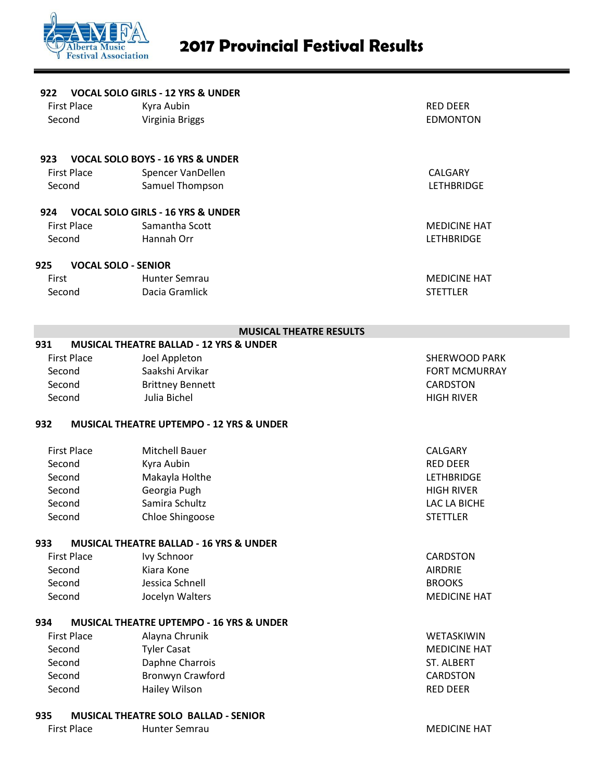

#### **922 VOCAL SOLO GIRLS - 12 YRS & UNDER**

| 922.  |                    | VOCAL SOLO GIRLS - 12 YRS & UNDER                   |                      |
|-------|--------------------|-----------------------------------------------------|----------------------|
|       | <b>First Place</b> | Kyra Aubin                                          | <b>RED DEER</b>      |
|       | Second             | Virginia Briggs                                     | <b>EDMONTON</b>      |
|       |                    |                                                     |                      |
| 923   |                    | <b>VOCAL SOLO BOYS - 16 YRS &amp; UNDER</b>         |                      |
|       | <b>First Place</b> |                                                     |                      |
|       |                    | Spencer VanDellen                                   | CALGARY              |
|       | Second             | Samuel Thompson                                     | <b>LETHBRIDGE</b>    |
| 924   |                    | <b>VOCAL SOLO GIRLS - 16 YRS &amp; UNDER</b>        |                      |
|       | <b>First Place</b> | Samantha Scott                                      | <b>MEDICINE HAT</b>  |
|       | Second             | Hannah Orr                                          | <b>LETHBRIDGE</b>    |
| 925   |                    | <b>VOCAL SOLO - SENIOR</b>                          |                      |
| First |                    | <b>Hunter Semrau</b>                                | <b>MEDICINE HAT</b>  |
|       | Second             | Dacia Gramlick                                      | <b>STETTLER</b>      |
|       |                    |                                                     |                      |
|       |                    | <b>MUSICAL THEATRE RESULTS</b>                      |                      |
| 931   |                    | <b>MUSICAL THEATRE BALLAD - 12 YRS &amp; UNDER</b>  |                      |
|       | <b>First Place</b> | Joel Appleton                                       | <b>SHERWOOD PARK</b> |
|       | Second             | Saakshi Arvikar                                     | <b>FORT MCMURRAY</b> |
|       | Second             | <b>Brittney Bennett</b>                             | <b>CARDSTON</b>      |
|       | Second             | Julia Bichel                                        | <b>HIGH RIVER</b>    |
|       |                    |                                                     |                      |
| 932   |                    | <b>MUSICAL THEATRE UPTEMPO - 12 YRS &amp; UNDER</b> |                      |
|       | <b>First Place</b> | <b>Mitchell Bauer</b>                               | CALGARY              |
|       | Second             | Kyra Aubin                                          | <b>RED DEER</b>      |
|       | Second             | Makayla Holthe                                      | <b>LETHBRIDGE</b>    |
|       | Second             | Georgia Pugh                                        | <b>HIGH RIVER</b>    |
|       | Second             | Samira Schultz                                      | LAC LA BICHE         |
|       | Second             | <b>Chloe Shingoose</b>                              | <b>STETTLER</b>      |
|       |                    |                                                     |                      |
| 933   |                    | <b>MUSICAL THEATRE BALLAD - 16 YRS &amp; UNDER</b>  |                      |
|       | <b>First Place</b> | Ivy Schnoor                                         | CARDSTON             |
|       | Second             | Kiara Kone                                          | <b>AIRDRIE</b>       |
|       | Second             | Jessica Schnell                                     | <b>BROOKS</b>        |
|       | Second             | Jocelyn Walters                                     | <b>MEDICINE HAT</b>  |
| 934   |                    | MUSICAL THEATRE UPTEMPO - 16 YRS & UNDER            |                      |
|       | <b>First Place</b> | Alayna Chrunik                                      | WETASKIWIN           |
|       | Second             | <b>Tyler Casat</b>                                  | <b>MEDICINE HAT</b>  |
|       | Second             | Daphne Charrois                                     | ST. ALBERT           |
|       | Second             | <b>Bronwyn Crawford</b>                             | CARDSTON             |
|       | Second             | Hailey Wilson                                       | <b>RED DEER</b>      |
|       |                    |                                                     |                      |

#### **935 MUSICAL THEATRE SOLO BALLAD - SENIOR**

First Place **Hunter Semrau MEDICINE HAT**